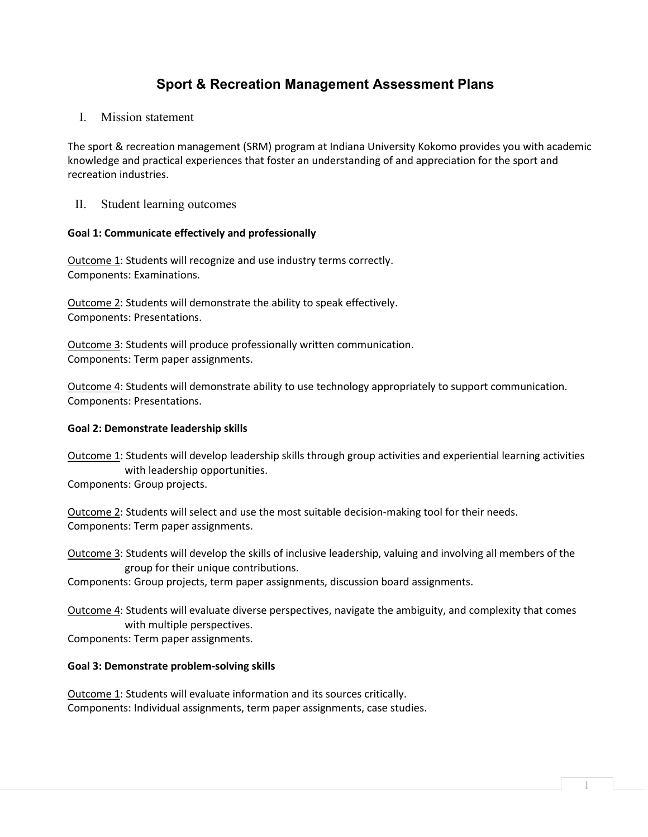# **Sport & Recreation Management Assessment Plans**

I. Mission statement

The sport & recreation management (SRM) program at Indiana University Kokomo provides you with academic knowledge and practical experiences that foster an understanding of and appreciation for the sport and recreation industries.

II. Student learning outcomes

## **Goal 1: Communicate effectively and professionally**

Outcome 1: Students will recognize and use industry terms correctly. Components: Examinations.

Outcome 2: Students will demonstrate the ability to speak effectively. Components: Presentations.

Outcome 3: Students will produce professionally written communication. Components: Term paper assignments.

Outcome 4: Students will demonstrate ability to use technology appropriately to support communication. Components: Presentations.

#### **Goal 2: Demonstrate leadership skills**

Outcome 1: Students will develop leadership skills through group activities and experiential learning activities with leadership opportunities.

Components: Group projects.

Outcome 2: Students will select and use the most suitable decision-making tool for their needs. Components: Term paper assignments.

Outcome 3: Students will develop the skills of inclusive leadership, valuing and involving all members of the group for their unique contributions.

Components: Group projects, term paper assignments, discussion board assignments.

Outcome 4: Students will evaluate diverse perspectives, navigate the ambiguity, and complexity that comes with multiple perspectives.

Components: Term paper assignments.

#### **Goal 3: Demonstrate problem-solving skills**

Outcome 1: Students will evaluate information and its sources critically. Components: Individual assignments, term paper assignments, case studies.